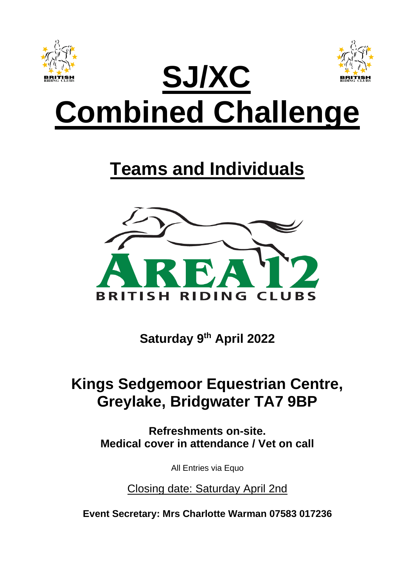

# **Teams and Individuals**



**Saturday 9 th April 2022**

## **Kings Sedgemoor Equestrian Centre, Greylake, Bridgwater TA7 9BP**

**Refreshments on-site. Medical cover in attendance / Vet on call**

All Entries via Equo

Closing date: Saturday April 2nd

**Event Secretary: Mrs Charlotte Warman 07583 017236**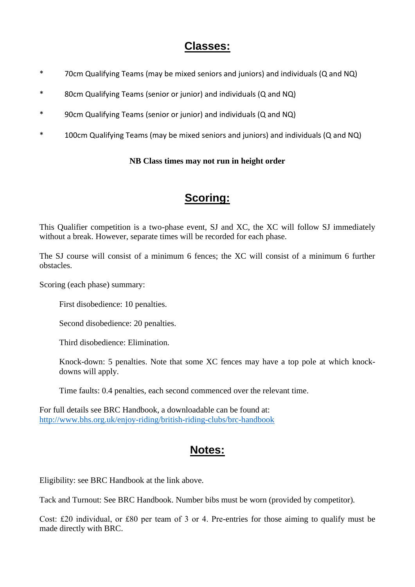## **Classes:**

- \* 70cm Qualifying Teams (may be mixed seniors and juniors) and individuals (Q and NQ)
- \* 80cm Qualifying Teams (senior or junior) and individuals (Q and NQ)
- \* 90cm Qualifying Teams (senior or junior) and individuals (Q and NQ)
- \* 100cm Qualifying Teams (may be mixed seniors and juniors) and individuals (Q and NQ)

#### **NB Class times may not run in height order**

## **Scoring:**

This Qualifier competition is a two-phase event, SJ and XC, the XC will follow SJ immediately without a break. However, separate times will be recorded for each phase.

The SJ course will consist of a minimum 6 fences; the XC will consist of a minimum 6 further obstacles.

Scoring (each phase) summary:

First disobedience: 10 penalties.

Second disobedience: 20 penalties.

Third disobedience: Elimination.

Knock-down: 5 penalties. Note that some XC fences may have a top pole at which knockdowns will apply.

Time faults: 0.4 penalties, each second commenced over the relevant time.

For full details see BRC Handbook, a downloadable can be found at: <http://www.bhs.org.uk/enjoy-riding/british-riding-clubs/brc-handbook>

## **Notes:**

Eligibility: see BRC Handbook at the link above.

Tack and Turnout: See BRC Handbook. Number bibs must be worn (provided by competitor).

Cost: £20 individual, or £80 per team of 3 or 4. Pre-entries for those aiming to qualify must be made directly with BRC.